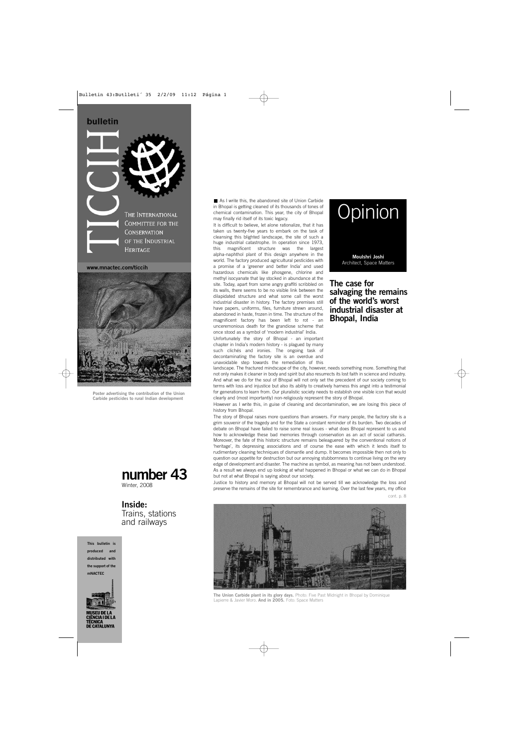### bulletin



**www.mnactec.com/ticcih**



**Poster advertising the contribution of the Union Carbide pesticides to rural Indian development**

# **number 43**

Winter, 2008

# **Inside:**

Trains, stations and railways

**This bulletin is produced and distributed with the support of the mNACTEC**



■ As I write this, the abandoned site of Union Carbide in Bhopal is getting cleaned of its thousands of tones of chemical contamination. This year, the city of Bhopal may finally rid itself of its toxic legacy.

It is difficult to believe, let alone rationalize, that it has taken us twenty-five years to embark on the task of cleansing this blighted landscape, the site of such a huge industrial catastrophe. In operation since 1973, this magnificent structure was the largest alpha-naphthol plant of this design anywhere in the world. The factory produced agricultural pesticides with a promise of a 'greener and better India' and used hazardous chemicals like phosgene, chlorine and methyl isocyanate that lay stocked in abundance at the site. Today, apart from some angry graffiti scribbled on its walls, there seems to be no visible link between the dilapidated structure and what some call the worst industrial disaster in history. The factory premises still have papers, uniforms, files, furniture strewn around, abandoned in haste, frozen in time. The structure of the magnificent factory has been left to rot - an unceremonious death for the grandiose scheme that once stood as a symbol of 'modern industrial' India.

Unfortunately the story of Bhopal - an important chapter in India's modern history - is plagued by many such clichés and ironies. The ongoing task of decontaminating the factory site is an overdue and unavoidable step towards the remediation of this



**The case for salvaging the remains of the world's worst industrial disaster at Bhopal, India**

landscape. The fractured mindscape of the city, however, needs something more. Something that not only makes it cleaner in body and spirit but also resurrects its lost faith in science and industry. And what we do for the soul of Bhopal will not only set the precedent of our society coming to terms with loss and injustice but also its ability to creatively harness this angst into a testimonial for generations to learn from. Our pluralistic society needs to establish one visible icon that would clearly and (most importantly) non-religiously represent the story of Bhopal.

However as I write this, in guise of cleaning and decontamination, we are losing this piece of history from Bhopal.

The story of Bhopal raises more questions than answers. For many people, the factory site is a grim souvenir of the tragedy and for the State a constant reminder of its burden. Two decades of debate on Bhopal have failed to raise some real issues - what does Bhopal represent to us and how to acknowledge these bad memories through conservation as an act of social catharsis. Moreover, the fate of this historic structure remains beleaguered by the conventional notions of 'heritage', its depressing associations and of course the ease with which it lends itself to rudimentary cleaning techniques of dismantle and dump. It becomes impossible then not only to question our appetite for destruction but our annoying stubbornness to continue living on the very edge of development and disaster. The machine as symbol, as meaning has not been understood. As a result we always end up looking at what happened in Bhopal or what we can do in Bhopal but not at what Bhopal is saying about our society.

Justice to history and memory at Bhopal will not be served till we acknowledge the loss and preserve the remains of the site for remembrance and learning. Over the last few years, my office cont. p. 8



**The Union Carbide plant in its glory days.** Photo: Five Past Midnight in Bhopal by Dominique Lapierre & Javier Moro. **And in 2005.** Foto: Space Matters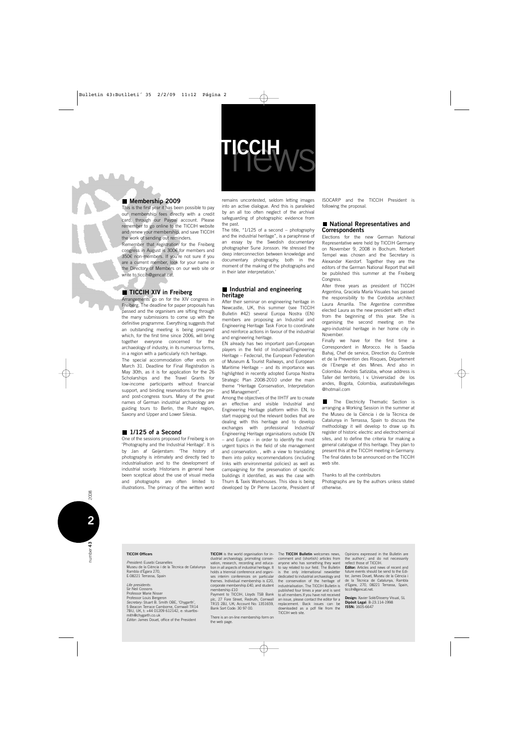

### **Membership 2009**

This is the first year it has been possible to pay our membership fees directly with a credit card, through our Paypal account. Please remember to go online to the TICCIH website and renew your membership, and save TICCIH the work of sending out reminders.

Remember that registration for the Freiberg congress in August is 300€ for members and 350€ non-members. If you're not sure if you are a current member, look for your name in the Directory of Members on our web site or write to ticcih@gencat.cat.

### **TICCIH XIV in Freiberg**

Arrangements go on for the XIV congress in Freiberg. The deadline for paper proposals has passed and the organisers are sifting through the many submissions to come up with the definitive programme. Everything suggests that an outstanding meeting is being prepared which, for the first time since 2006, will bring together everyone concerned for the archaeology of industry, in its numerous forms, in a region with a particularly rich heritage.

The special accommodation offer ends on March 31. Deadline for Final Registration is May 30th, as it is for application for the 26 Scholarships and the Travel Grants for low-income participants without financial support, and binding reservations for the preand post-congress tours. Many of the great names of German industrial archaeology are guiding tours to Berlin, the Ruhr region, Saxony and Upper and Lower Silesia.

### ■ 1/125 of a Second

One of the sessions proposed for Freiberg is on 'Photography and the Industrial Heritage'. It is by Jan af Geijerstam: 'The history of photography is intimately and directly tied to industrialisation and to the development of industrial society. Historians in general have been sceptical about the use of visual media and photographs are often limited to illustrations. The primacy of the written word remains uncontested, seldom letting images into an active dialogue. And this is paralleled by an all too often neglect of the archival safeguarding of photographic evidence from the past.

The title, "1/125 of a second – photography and the industrial heritage", is a paraphrase of an essay by the Swedish documentary photographer Sune Jonsson. He stressed the deep interconnection between knowledge and documentary photography, both in the moment of the making of the photographs and in their later interpretation.'

### **Industrial and engineering heritage**

After their seminar on engineering heritage in Newcastle, UK, this summer (see TICCIH Bulletin #42) several Europa Nostra (EN) members are proposing an Industrial and Engineering Heritage Task Force to coordinate and reinforce actions in favour of the industrial and engineering heritage.

EN already has two important pan-European players in the field of Industrial/Engineering Heritage – Fedecrail, the European Federation of Museum & Tourist Railways, and European Maritime Heritage – and its importance was highlighted in recently adopted Europa Nostra Strategic Plan 2008-2010 under the main theme "Heritage Conservation, Interpretation and Management".

Among the objectives of the IIHTF are to create an effective and visible Industrial and Engineering Heritage platform within EN, to start mapping out the relevant bodies that are dealing with this heritage and to develop exchanges with professional Industrial/ Engineering Heritage organisations outside EN – and Europe - in order to identify the most urgent topics in the field of site management and conservation. , with a view to translating them into policy recommendations (including links with environmental policies) as well as campaigning for the preservation of specific buildings it identified, as was the case with Thurn & Taxis Warehouses. This idea is being developed by Dr Pierre Laconte, President of

ISOCARP and the TICCIH President is following the proposal.

### **National Representatives and Correspondents**

Elections for the new German National Representative were held by TICCIH Germany on November 9, 2008 in Bochum. Norbert Tempel was chosen and the Secretary is Alexander Kierdorf. Together they are the editors of the German National Report that will be published this summer at the Freiberg Congress.

Alter three years as president of TICCIH Argentina, Graciela María Visuales has passed the responsibility to the Cordoba architect Laura Amarilla. The Argentine committee elected Laura as the new president with effect from the beginning of this year. She is organising the second meeting on the agro-industrial heritage in her home city in November.

Finally we have for the first time a Correspondent in Morocco. He is Saadia Bahaj, Chef de service, Direction du Controle et de la Prevention des Risques, Département de l'Energie et des Mines. And also in Colombia: Andrés Satizába, whose address is Taller del territorio, l v. Universidad de los andes, Bogota, Colombia, asatizabalvillegas @hotmail.com

The Electricity Thematic Section is arranging a Working Session in the summer at the Museu de la Ciència i de la Tècnica de Catalunya in Terrassa, Spain to discuss the methodology it will develop to draw up its register of historic electric and electrochemical sites, and to define the criteria for making a general catalogue of this heritage. They plan to present this at the TICCIH meeting in Germany. The final dates to be announced on the TICCIH web site.

Thanks to all the contributors

Photographs are by the authors unless stated otherwise.

*President:* Eusebi Casanelles Museu de la Ciència i de la Tècnica de Catalunya Rambla d'Égara 270, E-08221 Terrassa, Spain

*Life presidents:* Sir Neil Cossons Professor Marie Nisser Professor Louis Bergeron *Secretary:* Stuart B. Smith OBE, 'Chygarth', 5 Beacon Terrace Camborne, Cornwall TR14 7BU, UK, t: +44 01209 612142, e: stuartbsmith@chygarth.co.uk *Editor:* James Douet, office of the President

**TICCIH** is the world organisation for industrial archaeology, promoting conser-vation, research, recording and education in all aspects of industrial heritage. It holds a triennial conference and organises interim conferences on particular themes. Individual membership is £20, corporate membership £40, and student membership £10

Payment to TICCIH, Lloyds TSB Bank plc, 27 Fore Street, Redruth, Cornwall TR15 2BJ, UK; Account No: 1351659, Bank Sort Code: 30 97 00.

There is an on-line membership form on the web page.

The **TICCIH Bulletin** welcomes news, comment and (shortish) articles from anyone who has something they want to say related to our field. The Bulletin is the only international newsletter dedicated to industrial archaeology and the conservation of the heritage of industrialisation. The TICCIH Bulletin is published four times a year and is sent to all members.If you have not received an issue, please contact the editor for a replacement. Back issues can be downloaded as a pdf file from the TICCIH web site.

Opinions expressed in the Bulletin are the authors', and do not necessarily reflect those of TICCIH.

**Editor:** Articles and news of recent and future events should be send to the Editor, James Douet, Museu de la Ciència i de la Tècnica de Catalunya, Rambla d'Egara, 270, 08221 Terrassa, Spain, ticcih@gencat.net.

**Design:** Xavier Solé/Disseny Visual, SL **Dipòsit Legal**: B-23.114-1998 **ISSN:** 1605-6647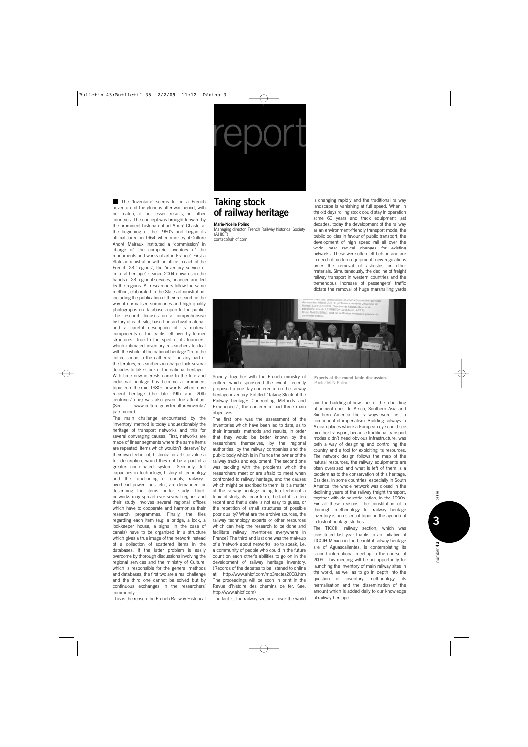# report

The 'Inventaire' seems to be a French adventure of the glorious after-war period, with no match, if no lesser results, in other countries. The concept was brought forward by the prominent historian of art André Chastel at the beginning of the 1960's and began its official career in 1964, when ministry of Culture André Malraux instituted a 'commission' in charge of 'the complete inventory of the monuments and works of art in France'. First a State administration with an office in each of the French 23 'régions', the 'inventory service of cultural heritage' is since 2004 onwards in the hands of 23 regional services, financed and led by the regions. All researchers follow the same method, elaborated in the State administration, including the publication of their research in the way of normalised summaries and high quality photographs on databases open to the public. The research focuses on a comprehensive history of each site, based on archival material, and a careful description of its material components or the tracks left over by former structures. True to the spirit of its founders, which intimated inventory researchers to deal with the whole of the national heritage "from the coffee spoon to the cathedral" on any part of the territory, researchers in charge took several decades to take stock of the national heritage. With time new interests came to the fore and

industrial heritage has become a prominent topic from the mid-1980's onwards, when more recent heritage (the late 19th and 20th centuries' one) was also given due attention. (See www.culture.gouv.fr/culture/inventai/ patrimoine)

The main challenge encountered by the 'inventory' method is today unquestionably the heritage of transport networks and this for several converging causes. First, networks are made of linear segments where the same items are repeated, items which wouldn't 'deserve' by their own technical, historical or artistic value a full description, would they not be a part of a greater coordinated system. Secondly, full capacities in technology, history of technology and the functioning of canals, railways, overhead power lines, etc., are demanded for describing the items under study. Third, networks may spread over several regions and their study involves several regional offices which have to cooperate and harmonize their research programmes. Finally, the files regarding each item (e.g. a bridge, a lock, a lockkeeper house, a signal in the case of canals) have to be organized in a structure which gives a true image of the network instead of a collection of scattered items in the databases. If the latter problem is easily overcome by thorough discussions involving the regional services and the ministry of Culture, which is responsible for the general methods and databases, the first two are a real challenge and the third one cannot be solved but by continuous exchanges in the researchers' community.

This is the reason the French Railway Historical

### **Taking stock of railway heritage**

### **Marie-Noëlle Polino**

Managing director, French Railway historical Society (AHICF) contact@ahicf.com

is changing rapidly and the traditional railway landscape is vanishing at full speed. When in the old days rolling stock could stay in operation some 60 years and track equipment last decades, today the development of the railway as an environment-friendly transport mode, the public policies in favour of public transport, the development of high speed rail all over the world bear radical changes for existing networks. These were often left behind and are in need of modern equipment, new regulations order the removal of asbestos or other materials. Simultaneously, the decline of freight railway transport in western countries and the tremendous increase of passengers' traffic dictate the removal of huge marshalling yards



Society, together with the French ministry of culture which sponsored the event, recently proposed a one-day conference on the railway heritage inventory. Entitled "Taking Stock of the Railway heritage: Confronting Methods and Experiences", the conference had three main objectives.

The first one was the assessment of the inventories which have been led to date, as to their interests, methods and results, in order that they would be better known by the researchers themselves, by the regional authorities, by the railway companies and the public body which is in France the owner of the railway tracks and equipment. The second one was tackling with the problems which the researchers meet or are afraid to meet when confronted to railway heritage, and the causes which might be ascribed to them; is it a matter of the railway heritage being too technical a topic of study, its linear form, the fact it is often recent and that a date is not easy to guess, or the repetition of small structures of possible poor quality? What are the archive sources, the railway technology experts or other resources which can help the research to be done and facilitate railway inventories everywhere in France? The third and last one was the makeup of a 'network about networks', so to speak, i.e. a community of people who could in the future count on each other's abilities to go on in the development of railway heritage inventory. (Records of the debates to be listened to online at: http://www.ahicf.com/mp3/actes2008.htm The proceedings will be soon in print in the Revue d'histoire des chemins de fer. See: http://www.ahicf.com)

The fact is, the railway sector all over the world

**Experts at the round table discussion.** Photo: M-N Polino

and the building of new lines or the rebuilding of ancient ones. In Africa, Southern Asia and Southern America the railways were first a component of imperialism. Building railways in African places where a European eye could see no other transport, because traditional transport modes didn't need obvious infrastructure, was both a way of designing and controlling the country and a tool for exploiting its resources. The network design follows the map of the natural resources, the railway equipments are often oversized and what is left of them is a problem as to the conservation of this heritage. Besides, in some countries, especially in South America, the whole network was closed in the declining years of the railway freight transport, together with deindustrialisation, in the 1990s. For all these reasons, the constitution of a thorough methodology for railway heritage inventory is an essential topic on the agenda of industrial heritage studies.

The TICCIH railway section, which was constituted last year thanks to an initiative of TICCIH Mexico in the beautiful railway heritage site of Aguascalientes, is contemplating its second international meeting in the course of 2009. This meeting will be an opportunity for launching the inventory of main railway sites in the world, as well as to go in depth into the question of inventory methodology, its normalisation and the dissemination of the amount which is added daily to our knowledge of railway heritage.

**3**

umber 43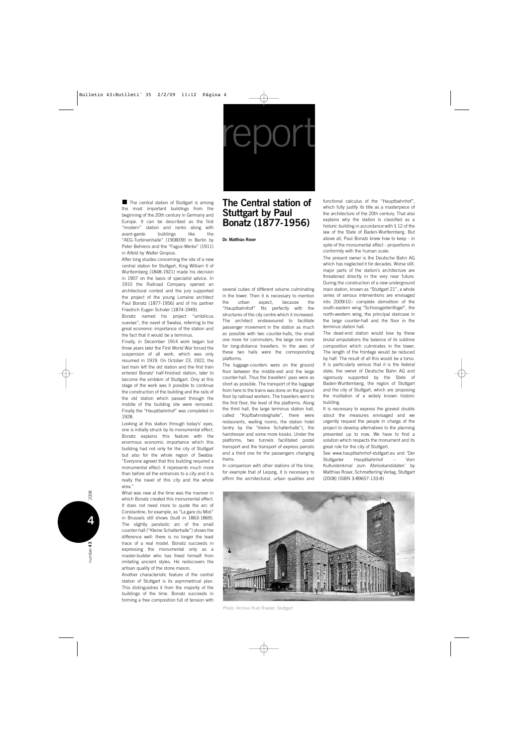report

The central station of Stuttgart is among the most important buildings from the beginning of the 20th century in Germany and Europe. It can be described as the first "modern" station and ranks along with avant-garde buildings like the "AEG-Turbinenhalle" (1908/09) in Berlin by Peter Behrens and the "Fagus-Werke" (1911) in Alfeld by Walter Gropius.

After long studies concerning the site of a new central station for Stuttgart, King William II of Wurttemberg (1848-1921) made his decision in 1907 on the basis of specialist advice. In 1910 the Railroad Company opened an architectural contest and the jury supported the project of the young Lorraine architect Paul Bonatz (1877-1956) and of his partner Friedrich Eugen Scholer (1874-1949).

Bonatz named his project "umbilicus sueviae", the navel of Swabia, referring to the great economic importance of the station and the fact that it would be a terminus.

Finally, in December 1914 work began but three years later the First World War forced the suspension of all work, which was only resumed in 1919. On October 23, 1922, the last train left the old station and the first train entered Bonatz' half-finished station, later to become the emblem of Stuttgart. Only at this stage of the work was it possible to continue the construction of the building and the rails of the old station which passed through the middle of the building site were removed. Finally the "Hauptbahnhof" was completed in 1928.

Looking at this station through today's' eyes, one is initially struck by its monumental effect. Bonatz explains this feature with the enormous economic importance which this building had not only for the city of Stuttgart but also for the whole region of Swabia: "Everyone agreed that this building required a monumental effect: it represents much more than before all the entrances to a city and it is really the navel of this city and the whole area."

What was new at the time was the manner in which Bonatz created this monumental effect. It does not need more to quote the arc of Constantine, for example, as "La gare du Midi" in Brussels still shows (built in 1863-1869). The slightly parabolic arc of the small counter-hall ("Kleine Schalterhalle") shows the difference well: there is no longer the least trace of a real model. Bonatz succeeds in expressing the monumental only as a master-builder who has freed himself from imitating ancient styles. He rediscovers the artisan quality of the stone mason.

Another characteristic feature of the central station of Stuttgart is its asymmetrical plan. This distinguishes it from the majority of the buildings of the time. Bonatz succeeds in forming a free composition full of tension with

## **The Central station of Stuttgart by Paul Bonatz (1877-1956)**

**Dr. Matthias Roser**

several cubes of different volume culminating in the tower. Then it is necessary to mention the urban aspect, because the "Hauptbahnhof" fits perfectly with the structures of the city centre which it increased. The architect endeavoured to facilitate passenger movement in the station as much as possible with two counter-halls, the small one more for commuters, the large one more for long-distance travellers. In the axes of these two halls were the corresponding platforms.

The luggage-counters were on the ground floor between the middle-exit and the large counter-hall. Thus the travellers' pass were as short as possible. The transport of the luggage from here to the trains was done on the ground floor by railroad workers. The travellers went to the first floor, the level of the platforms. Along the third hall, the large terminus station hall, called "Kopfbahnsteighalle", there were restaurants, waiting rooms, the station hotel (entry by the "kleine Schalterhalle"), the hairdresser and some more kiosks. Under the platforms, two tunnels facilitated postal transport and the transport of express parcels and a third one for the passengers changing trains.

In comparison with other stations of the time, for example that of Leipzig, it is necessary to affirm the architectural, urban qualities and functional calculus of the "Hauptbahnhof", which fully justify its title as a masterpiece of the architecture of the 20th century. That also explains why the station is classified as a historic building in accordance with § 12 of the law of the State of Baden-Wurttemberg. But above all, Paul Bonatz knew how to keep - in spite of the monumental effect - proportions in conformity with the human scale.

The present owner is the Deutsche Bahn AG which has neglected it for decades. Worse still, major parts of the station's architecture are threatened directly in the very near future. During the construction of a new underground main station, known as "Stuttgart 21", a whole series of serious interventions are envisaged into 2009/10:: complete demolition of the south-eastern wing "Schlossgartenflügel", the north-western wing, the principal staircase in the large counter-hall and the floor in the terminus station hall.

The dead-end station would lose by these brutal amputations the balance of its sublime composition which culminates in the tower. The length of the frontage would be reduced by half. The result of all this would be a torso. It is particularly serious that it is the federal state, the owner of Deutsche Bahn AG and vigorously supported by the State of Baden-Wurttemberg, the region of Stuttgart and the city of Stuttgart, which are proposing the mutilation of a widely known historic building.

It is necessary to express the gravest doubts about the measures envisaged and we urgently request the people in charge of the project to develop alternatives to the planning presented up to now. We have to find a solution which respects the monument and its great role for the city of Stuttgart.

See www.hauptbahnhof-stuttgart.eu and 'Der Stuttgarter Hauptbahnhof – Vom Kulturdenkmal zum Abrisskandidaten' by Matthias Roser, Schmetterling Verlag, Stuttgart (2008) (ISBN 3-89657-133-8)



Photo: Archivo Rudi Roeder, Stuttgart

umber 43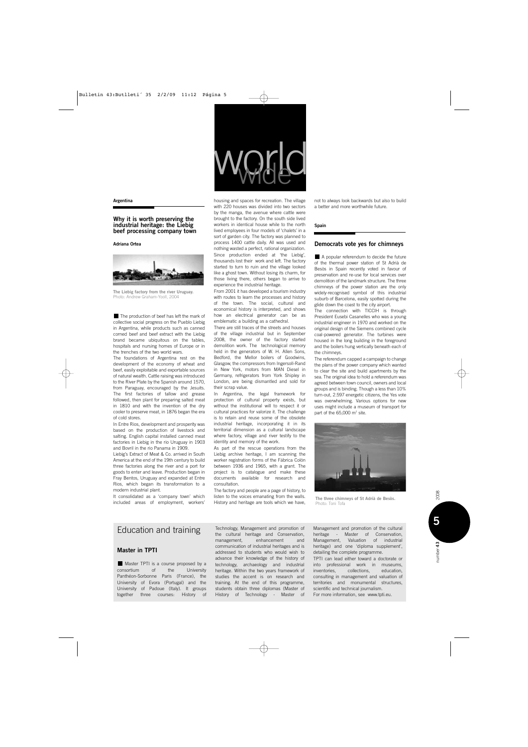**Argentina**

### **Why it is worth preserving the industrial heritage: the Liebig beef processing company town**

**Adriana Ortea**



**The Liebig factory from the river Uruguay.** Photo: Andrew Graham-Yooll, 2004

The production of beef has left the mark of collective social progress on the Pueblo Liebig in Argentina, while products such as canned corned beef and beef extract with the Liebig brand became ubiquitous on the tables, hospitals and nursing homes of Europe or in the trenches of the two world wars.

The foundations of Argentina rest on the development of the economy of wheat and beef, easily exploitable and exportable sources of natural wealth. Cattle raising was introduced to the River Plate by the Spanish around 1570, from Paraguay, encouraged by the Jesuits. The first factories of tallow and grease followed, then plant for preparing salted meat in 1810 and with the invention of the dry cooler to preserve meat, in 1876 began the era of cold stores.

In Entre Rios, development and prosperity was based on the production of livestock and salting. English capital installed canned meat factories in Liebig in the rio Uruguay in 1903 and Bovril in the rio Panama in 1909.

Liebig's Extract of Meat & Co. arrived in South America at the end of the 19th century to build three factories along the river and a port for goods to enter and leave. Production began in Fray Bentos, Uruguay and expanded at Entre Rios, which began its transformation to a modern industrial plant.

It consolidated as a 'company town' which included areas of employment, workers' housing and spaces for recreation. The village with 220 houses was divided into two sectors by the manga, the avenue where cattle were brought to the factory. On the south side lived workers in identical house while to the north lived employees in four models of 'chalets' in a sort of garden city. The factory was planned to process 1400 cattle daily. All was used and nothing wasted a perfect, rational organization. Since production ended at 'the Liebig', thousands lost their work and left. The factory started to turn to ruin and the village looked like a ghost town. Without losing its charm, for those living there, others began to arrive to experience the industrial heritage.

world

From 2001 it has developed a tourism industry with routes to learn the processes and history of the town. The social, cultural and economical history is interpreted, and shows how an electrical generator can be as emblematic a building as a cathedral.

There are still traces of the streets and houses of the village industrial but in September 2008, the owner of the factory started demolition work. The technological memory held in the generators of W. H. Allen Sons, Bedford, the Mellor boilers of Goodwins, Glasgow, the compressors from Ingersoll-Rand in New York, motors from MAN Diesel in Germany, refrigerators from York Shipley in London, are being dismantled and sold for their scrap value.

In Argentina, the legal framework for protection of cultural property exists, but without the institutional will to respect it or cultural practices for valorize it. The challenge is to retain and reuse some of the obsolete industrial heritage, incorporating it in its territorial dimension as a cultural landscape where factory, village and river testify to the identity and memory of the work.

As part of the rescue operations from the Liebig archive heritage, I am scanning the worker registration forms of the Fábrica Colón between 1936 and 1965, with a grant. The project is to catalogue and make these documents available for research and consultation.

The factory and people are a page of history, to listen to the voices emanating from the walls. History and heritage are tools which we have,

not to always look backwards but also to build a better and more worthwhile future.

**Spain**

### **Democrats vote yes for chimneys**

A popular referendum to decide the future of the thermal power station of St Adrià de Besòs in Spain recently voted in favour of preservation and re-use for local services over demolition of the landmark structure. The three chimneys of the power station are the only widely-recognised symbol of this industrial suburb of Barcelona, easily spotted during the glide down the coast to the city airport.

The connection with TICCIH is through President Eusebi Casanelles who was a young industrial engineer in 1970 and worked on the original design of the Siemens combined cycle coal-powered generator. The turbines were housed in the long building in the foreground and the boilers hung vertically beneath each of the chimneys.

The referendum capped a campaign to change the plans of the power company which wanted to clear the site and build apartments by the sea. The original idea to hold a referendum was agreed between town council, owners and local groups and is binding. Though a less than 10% turn-out, 2.597 energetic citizens, the Yes vote was overwhelming. Various options for new uses might include a museum of transport for part of the 65,000 m<sup>2</sup> site.



**The three chimneys of St Adrià de Besòs.** Photo: Toni Tofa

### Education and training

### **Master in TPTI**

Master TPTI is a course proposed by a consortium of the University Panthéon-Sorbonne Paris (France), the University of Evora (Portugal) and the University of Padoue (Italy). It groups together three courses: History of

Technology, Management and promotion of the cultural heritage and Conservation, management, enhancement and communication of industrial heritages and is addressed to students who would wish to advance their knowledge of the history of technology, archaeology and industrial heritage. Within the two years framework of studies the accent is on research and training. At the end of this programme, students obtain three diplomas (Master of History of Technology - Master of Management and promotion of the cultural heritage - Master of Conservation, Management, Valuation of industrial heritage) and one 'diploma supplement', detailing the complete programme.

TPTI can lead either toward a doctorate or into professional work in museums, inventories, collections, education, consulting in management and valuation of territories and monumental structures, scientific and technical journalism. For more information, see www.tpti.eu.

lumber 43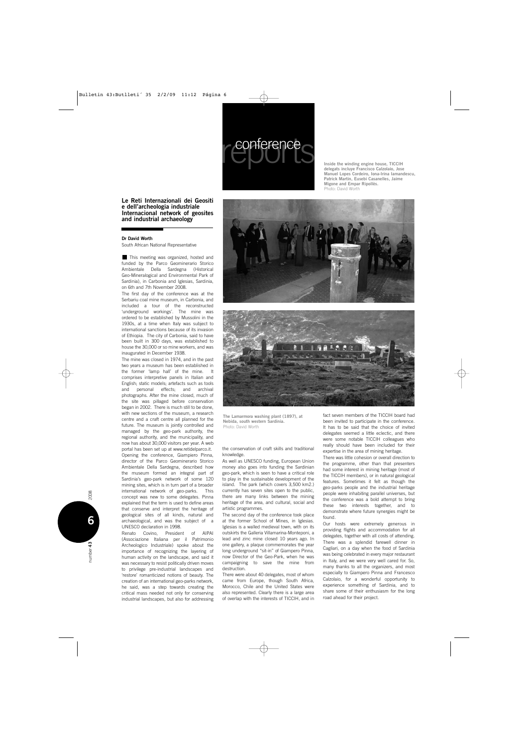

**Inside the winding engine house, TICCIH delegats incluye Francisco Calzolaio, Jose Manuel Lopes Cordeiro, Iona-Irina Iamandescu, Patrick Martin, Eusebi Casanelles, Jaime Migone and Empar Ripollès.** Photo: David Worth

**Le Reti Internazionali dei Geositi e dell'archeologia industriale Internacional network of geosites and industrial archaeology**

### **Dr David Worth**

South African National Representative

This meeting was organized, hosted and funded by the Parco Geominerario Storico Ambientale Della Sardegna (Historical Geo-Mineralogical and Environmental Park of Sardinia), in Carbonia and Iglesias, Sardinia, on 6th and 7th November 2008.

The first day of the conference was at the Serbariu coal mine museum, in Carbonia, and included a tour of the reconstructed 'underground workings'. The mine was ordered to be established by Mussolini in the 1930s, at a time when Italy was subject to international sanctions because of its invasion of Ethiopia. The city of Carbonia, said to have been built in 300 days, was established to house the 30,000 or so mine workers, and was inaugurated in December 1938.

The mine was closed in 1974, and in the past two years a museum has been established in the former 'lamp hall' of the mine. It comprises interpretive panels in Italian and English; static models; artefacts such as tools and personal effects; and archival photographs. After the mine closed, much of the site was pillaged before conservation began in 2002. There is much still to be done, with new sections of the museum, a research centre and a craft centre all planned for the future. The museum is jointly controlled and managed by the geo-park authority, the regional authority, and the municipality, and now has about 30,000 visitors per year. A web portal has been set up at www.retidelparco.it. Opening the conference, Giampiero Pinna, director of the Parco Geominerario Storico Ambientale Della Sardegna, described how the museum formed an integral part of Sardinia's geo-park network of some 120 mining sites, which is in turn part of a broader international network of geo-parks. This concept was new to some delegates. Pinna explained that the term is used to define areas that conserve and interpret the heritage of geological sites of all kinds, natural and archaeological, and was the subject of a UNESCO declaration in 1998.

Renato Covino, President of AIPAI (Associazione Italiana per il Patrimonio Archeologico Industriale) spoke about the importance of recognizing the layering of human activity on the landscape, and said it was necessary to resist politically driven moves to privilege pre-industrial landscapes and 'restore' romanticized notions of beauty. The creation of an international geo-parks network, he said, was a step towards creating the critical mass needed not only for conserving industrial landscapes, but also for addressing





**The Lamarmora washing plant (1897), at Nebida, south western Sardinia.** Photo: David Worth

### the conservation of craft skills and traditional knowledge.

As well as UNESCO funding, European Union money also goes into funding the Sardinian geo-park, which is seen to have a critical role to play in the sustainable development of the island. The park (which covers 3,500 km2.) currently has seven sites open to the public, there are many links between the mining heritage of the area, and cultural, social and artistic programmes.

The second day of the conference took place at the former School of Mines, in Iglesias. Iglesias is a walled medieval town, with on its outskirts the Galleria Villamarina-Monteponi, a lead and zinc mine closed 10 years ago. In one gallery, a plaque commemorates the year long underground "sit-in" of Giampero Pinna, now Director of the Geo-Park, when he was campaigning to save the mine from destruction.

There were about 40 delegates, most of whom came from Europe, though South Africa, Morocco, Chile and the United States were also represented. Clearly there is a large area of overlap with the interests of TICCIH, and in

fact seven members of the TICCIH board had been invited to participate in the conference. It has to be said that the choice of invited delegates seemed a little eclectic, and there were some notable TICCIH colleagues who really should have been included for their expertise in the area of mining heritage.

There was little cohesion or overall direction to the programme, other than that presenters had some interest in mining heritage (most of the TICCIH members), or in natural geological features. Sometimes it felt as though the geo-parks people and the industrial heritage people were inhabiting parallel universes, but the conference was a bold attempt to bring these two interests together, and to demonstrate where future synergies might be found.

Our hosts were extremely generous in providing flights and accommodation for all delegates, together with all costs of attending. There was a splendid farewell dinner in Cagliari, on a day when the food of Sardinia was being celebrated in every major restaurant in Italy, and we were very well cared for. So, many thanks to all the organizers, and most especially to Giampero Pinna and Francesco Calzolaio, for a wonderful opportunity to experience something of Sardinia, and to share some of their enthusiasm for the long road ahead for their project.

**6**

number 43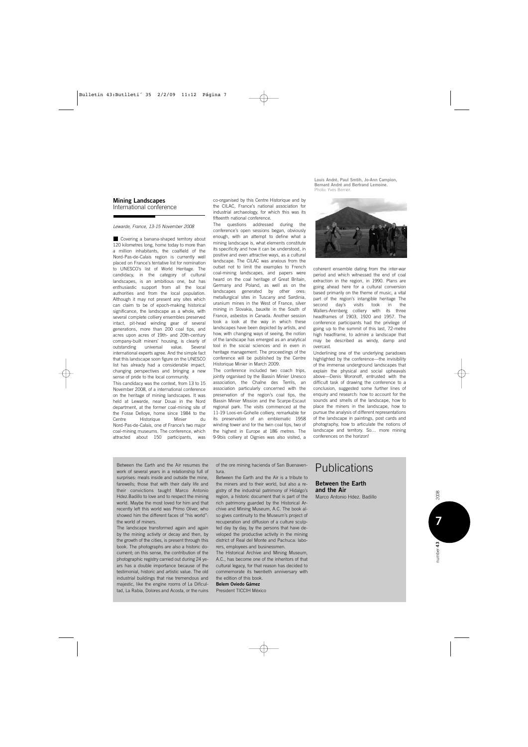### **Mining Landscapes** International conference

### *Lewarde, France, 13-15 November 2008*

Covering a banana-shaped territory about 120 kilometres long, home today to more than a million inhabitants, the coalfield of the Nord-Pas-de-Calais region is currently well placed on France's tentative list for nomination to UNESCO's list of World Heritage. The candidacy, in the category of cultural landscapes, is an ambitious one, but has enthusiastic support from all the local authorities and from the local population. Although it may not present any sites which can claim to be of epoch-making historical significance, the landscape as a whole, with several complete colliery ensembles preserved intact, pit-head winding gear of several generations, more than 200 coal tips, and acres upon acres of 19th- and 20th-century company-built miners' housing, is clearly of outstanding universal value. Several international experts agree. And the simple fact that this landscape soon figure on the UNESCO list has already had a considerable impact, changing perspectives and bringing a new sense of pride to the local community.

This candidacy was the context, from 13 to 15 November 2008, of a international conference on the heritage of mining landscapes. It was held at Lewarde, near Douai in the Nord department, at the former coal-mining site of the Fosse Delloye, home since 1984 to the<br>Centre Historique Minier du Historique Minier du Nord-Pas-de-Calais, one of France's two major coal-mining museums. The conference, which attracted about 150 participants, was

co-organised by this Centre Historique and by the CILAC, France's national association for industrial archaeology, for which this was its fifteenth national conference.

The questions addressed during the conference's open sessions began, obviously enough, with an attempt to define what a mining landscape is, what elements constitute its specificity and how it can be understood, in positive and even attractive ways, as a cultural landscape. The CILAC was anxious from the outset not to limit the examples to French coal-mining landscapes, and papers were heard on the coal heritage of Great Britain, Germany and Poland, as well as on the landscapes generated by other ores: metallurgical sites in Tuscany and Sardinia, uranium mines in the West of France, silver mining in Slovakia, bauxite in the South of France, asbestos in Canada. Another session took a look at the way in which these landscapes have been depicted by artists, and how, with changing ways of seeing, the notion of the landscape has emerged as an analytical tool in the social sciences and in even in heritage management. The proceedings of the conference will be published by the Centre Historique Minier in March 2009.

The conference included two coach trips, jointly organised by the Bassin Minier Unesco association, the Chaîne des Terrils, an association particularly concerned with the preservation of the region's coal tips, the Bassin Minier Mission and the Scarpe-Escaut regional park. The visits commenced at the 11-19 Loos-en-Gohelle colliery, remarkable for its preservation of an emblematic 1958 winding tower and for the twin coal tips, two of the highest in Europe at 186 metres. The 9-9bis colliery at Oignies was also visited, a

**Louis André, Paul Smtih, Jo-Ann Campìon, Bernard André and Bertrand Lemoine.** Photo: Yves Berrier.



coherent ensemble dating from the inter-war period and which witnessed the end of coal extraction in the region, in 1990. Plans are going ahead here for a cultural conversion based primarily on the theme of music, a vital part of the region's intangible heritage The<br>second day's visits took in the second day's visits took in Wallers-Arenberg colliery with its three headframes of 1903, 1920 and 1957. The conference participants had the privilege of going up to the summit of this last, 72-metre high headframe, to admire a landscape that may be described as windy, damp and overcast.

Underlining one of the underlying paradoxes highlighted by the conference—the invisibility of the immense underground landscapes that explain the physical and social upheavals above—Denis Woronoff, entrusted with the difficult task of drawing the conference to a conclusion, suggested some further lines of enquiry and research: how to account for the sounds and smells of the landscape, how to place the miners in the landscape, how to pursue the analysis of different representations of the landscape in paintings, post cards and photography, how to articulate the notions of landscape and territory. So… more mining conferences on the horizon!

Between the Earth and the Air resumes the work of several years in a relationship full of surprises: meals inside and outside the mine, farewells; those that with their daily life and their convictions taught Marco Antonio Hdez.Badillo to love and to respect the mining world. Maybe the most loved for him and that recently left this world was Primo Oliver, who showed him the different faces of "his world": the world of miners.

The landscape transformed again and again by the mining activity or decay and then, by the growth of the cities, is present through this book. The photographs are also a historic document; on this sense, the contribution of the photographic registry carried out during 24 years has a double importance because of the testimonial, historic and artistic value. The old industrial buildings that rise tremendous and majestic, like the engine rooms of La Dificultad, La Rabia, Dolores and Acosta, or the ruins of the ore mining hacienda of San Buenaventura.

Between the Earth and the Air is a tribute to the miners and to their world, but also a registry of the industrial patrimony of Hidalgo's region, a historic document that is part of the rich patrimony guarded by the Historical Archive and Mining Museum, A.C. The book also gives continuity to the Museum's project of recuperation and diffusion of a culture sculpted day by day, by the persons that have developed the productive activity in the mining district of Real del Monte and Pachuca: laborers, employees and businessmen.

The Historical Archive and Mining Museum, A.C., has become one of the inheritors of that cultural legacy, for that reason has decided to commemorate its twentieth anniversary with the edition of this book.

### **Belem Oviedo Gámez**

President TICCIH México

# Publications

### **Between the Earth and the Air**

Marco Antonio Hdez. Badillo

2008